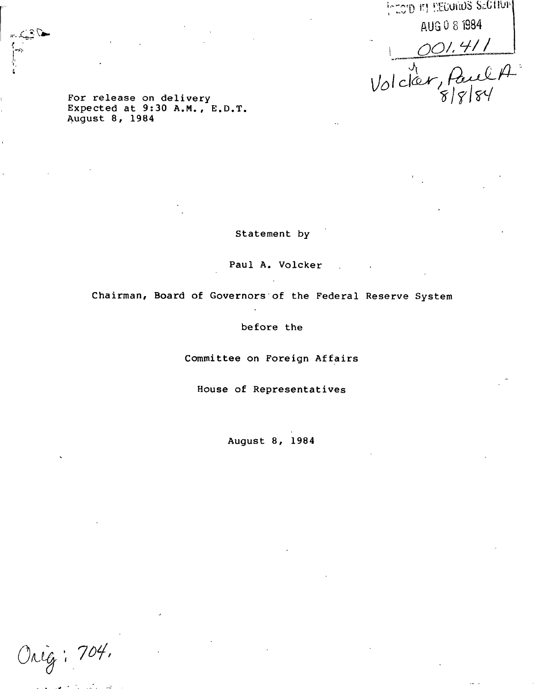**i~:0'D \*'! ' 'ii.Ui.ilS SdJtll'l' A UG 0 8 1994**  $1 001.411$ 

**For release on delivery \Jol C.1 ^ Aug^sll/M' <sup>3</sup> <sup>0</sup> <sup>A</sup> ' <sup>M</sup> " <sup>E</sup> - <sup>D</sup> " <sup>T</sup> - \*/f/ W**

**Statement by**

**Paul A. Volcker**

**Chairman, Board of Governors of the Federal Reserve System**

**before the**

**Committee on Foreign Affairs**

**House of Representatives**

**August 8, 1984**

Onig: 704.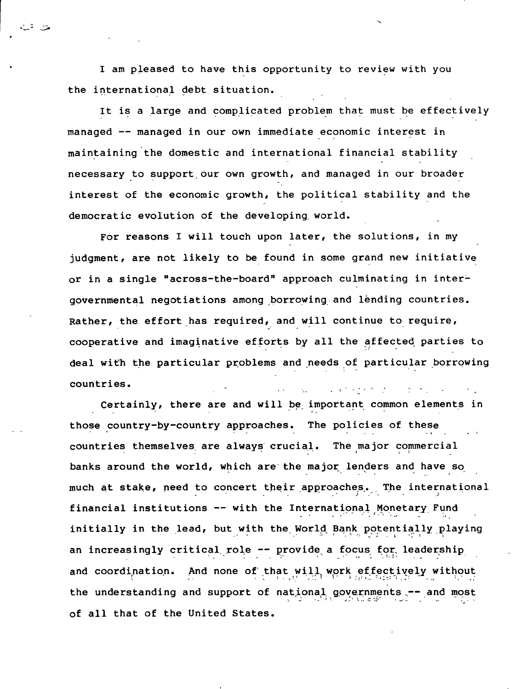**I am pleased to have this opportunity to review with you the international debt situation.**

**It is a large and complicated problem that must be effectively managed — managed in our own immediate economic interest in maintaining the domestic and international financial stability necessary to support our own growth, and managed in our broader interest of the economic growth, the political stability and the democratic evolution of the developing world.**

**For reasons I will touch upon later, the solutions, in my judgment, are not likely to be found in some grand new initiative or in a single "across-the-board" approach culminating in intergovernmental negotiations among borrowing and lending countries. Rather, the effort has required, and will continue to require, cooperative and imaginative efforts by all the affected parties to deal with the particular problems and needs of particular borrowing countries.**

**Certainly, there are and will be important common elements in those country-by-country approaches. The policies of these countries themselves are always crucial. The major commercial banks around the world, which are the major lenders and have so much at stake, need to concert their approaches. The international financial institutions — with the International Monetary Fund initially in the lead, but with the. World Bank potentially playing an increasingly critical role — provide a focus for. leadership and coordination. And none of that will, work effectively without the understanding and support of national governments ..— and most of all that of the United States.**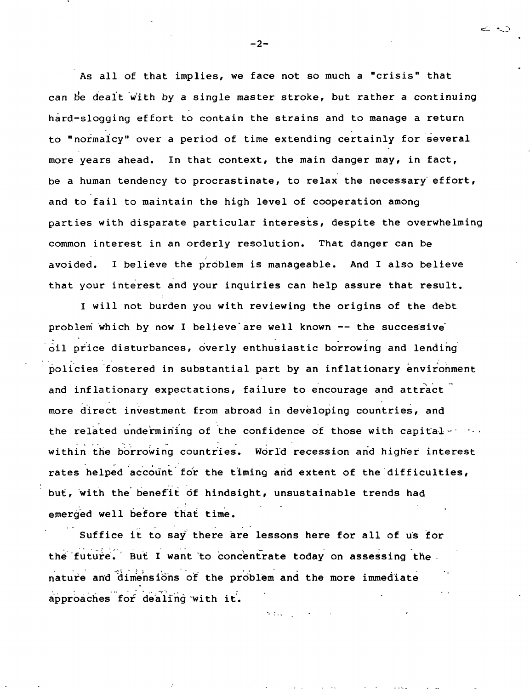**As all of that implies, we face not so much a "crisis" that can tie dealt with by a single master stroke, but rather a continuing hard-slogging effort to contain the strains and to manage a return to "normalcy" over a period of time extending certainly for several more years ahead. In that context, the main danger may, in fact, be a human tendency to procrastinate, to relax the necessary effort, and to fail to maintain the high level of cooperation among parties with disparate particular interests, despite the overwhelming common interest in an orderly resolution. That danger can be avoided. I believe the problem is manageable. And I also believe that your interest and your inquiries can help assure that result.**

**I will not burden you with reviewing the origins of the debt problem which by now I believe are well known — the successive oil price disturbances, overly enthusiastic borrowing and lending policies fostered in substantial part by an inflationary environment and inflationary expectations, failure to encourage and attract more direct investment from abroad in developing countries, and the related undermining of the confidence of those with capital ^ - - - within the borrowing countries. World recession and higher interest rates helped account for the timing arid extent of the difficulties, but, with the benefit of hindsight, unsustainable trends had emerged well before that time.**

**Suffice it to say there are lessons here for all of us for the future. But I want to concentrate today on assessing the nature and dimensions of the problem and the more immediate approaches for dealing with it.**

S. Bas

**- 2 -**

ن ن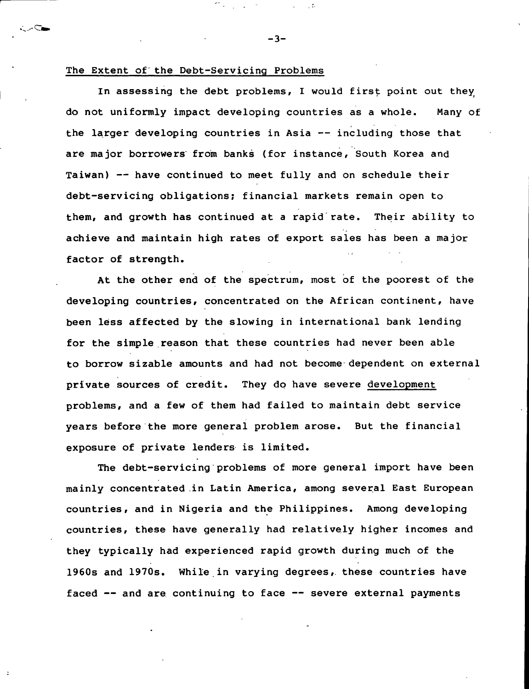## **The Extent of the Debt-Servicing Problems**

.c.

**In assessing the debt problems, I would first point out they; do not uniformly impact developing countries as a whole. Many of the larger developing countries in Asia — including those that are major borrowers from banks (for instance, South Korea and Taiwan) — have continued to meet fully and on schedule their debt-servicing obligations; financial markets remain open to them, and growth has continued at a rapid rate. Their ability to achieve and maintain high rates of export sales has been a major factor of strength.**

**At the other end of the spectrum, most of the poorest of the developing countries, concentrated on the African continent, have been less affected by the slowing in international bank lending for the simple reason that these countries had never been able to borrow sizable amounts and had not become dependent on external private sources of credit. They do have severe development problems, and a few of them had failed to maintain debt service years before the more general problem arose. But the financial exposure of private lenders is limited.**

**The debt-servicing problems of more general import have been mainly concentrated in Latin America, among several East European countries, and in Nigeria and the Philippines. Among developing countries, these have generally had relatively higher incomes and they typically had experienced rapid growth during much of the 1960s and 1970s. While in varying degrees, these countries have faced — and are continuing to face — severe external payments**

 $-3-$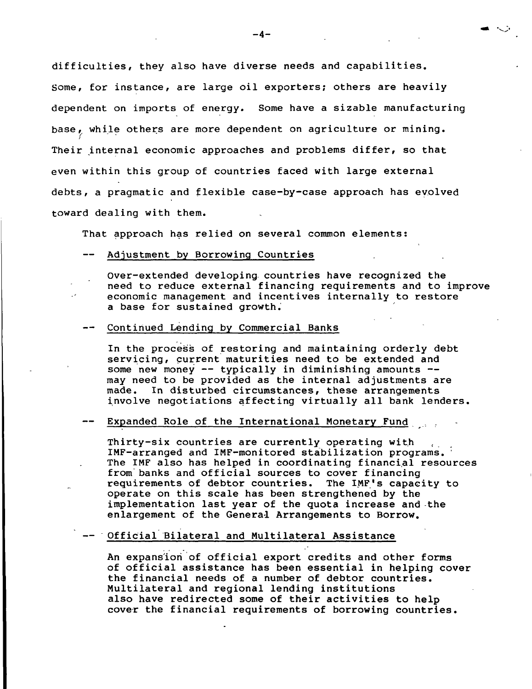**difficulties, they also have diverse needs and capabilities. Some, for instance, are large oil exporters; others are heavily dependent on imports of energy. Some have a sizable manufacturing base ,, while others are more dependent on agriculture or mining. Their internal economic approaches and problems differ, so that even within this group of countries faced with large external debts, a pragmatic and flexible case-by-case approach has evolved toward dealing with them.**

**That approach has relied on several common elements:**

**Adjustment by Borrowing Countries**

**Over-extended developing countries have recognized the need to reduce external financing requirements and to improve economic management and incentives internally to restore a base for sustained growth.**

**— Continued Lending by Commercial Banks**

**In the process of restoring and maintaining orderly debt servicing, current maturities need to be extended and some new money — typically in diminishing amounts may need to be provided as the internal adjustments are made. In disturbed circumstances, these arrangements involve negotiations affecting virtually all bank lenders.**

## **— Expanded Role of the International Monetary Fund**

**Thirty-six countries are currently operating with IMF-arranged and IMF-monitored stabilization programs. ' The IMF also has helped in coordinating financial resources from banks and official sources to cover financing requirements** of debtor countries. **operate on this scale has been strengthened by the implementation last year of the quota increase and the enlargement of the General Arrangements to Borrow.**

## **— Official Bilateral and Multilateral Assistance**

**An expansion of official export credits and other forms of official assistance has been essential in helping cover the financial needs of a number of debtor countries. Multilateral and regional lending institutions also have redirected some of their activities to help cover the financial requirements of borrowing countries.**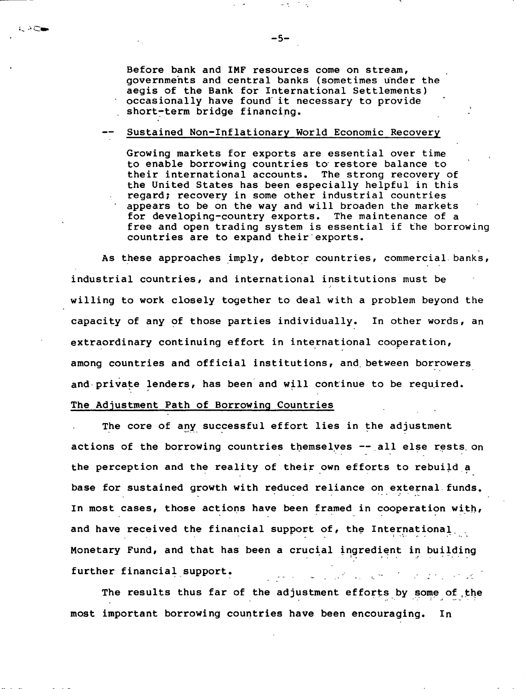**Before bank and IMF resources come on stream, governments and central banks (sometimes under the aegis of the Bank for International Settlements) occasionally have found it necessary to provide short-term bridge financing.**

## **— Sustained Non-Inflationary World Economic Recovery**

**Growing markets for exports are essential over time to enable borrowing countries to restore balance to their international accounts. The strong recovery of the United States has been especially helpful in this regard; recovery in some other industrial countries appears to be on the way and will broaden the markets for developing-country exports. The maintenance of a free and open trading system is essential if the borrowin countries are to expand their'exports.**

**As these approaches imply, debtor countries, commercial, banks industrial countries, and international institutions must be willing to work closely together to deal with a problem beyond the capacity of any of those parties individually. In other words, an extraordinary continuing effort in international cooperation, among countries and official institutions, and. between borrowers and private lenders, has been and will continue to be required. The Adjustment Path of Borrowing Countries**

**The core of any successful effort lies in the adjustment actions of the borrowing countries themselves —al l else rests on the perception and the reality of their own efforts to rebuild a base for sustained growth with reduced reliance on external funds. In most cases, those actions have been framed in cooperation with, and have received the financial support of, the International Monetary Fund, and that has been a crucial ingredient in building further financial support.**  $\mathbf{u}$ and the problem of the state of

**The results thus far of the adjustment efforts by some of the most important borrowing countries have been encouraging. In**

. AC.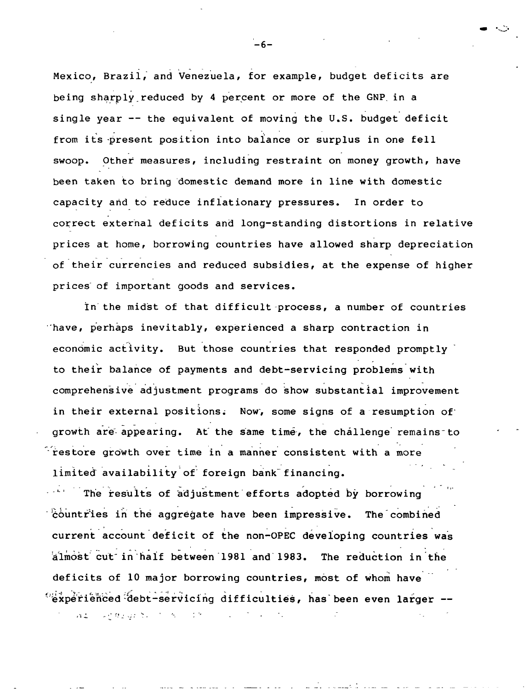**Mexico, Brazil, and Venezuela, for example, budget deficits are being sharply.reduced by 4 percent or more of the GNP in a single year — the equivalent of moving the U.S. budget deficit from its -present position into balance or surplus in one fell swoop. Other measures, including restraint on money growth, have been taken to bring domestic demand more in line with domestic capacity and to reduce inflationary pressures. In order to correct external deficits and long-standing distortions in relative prices at home, borrowing countries have allowed sharp depreciation of their currencies and reduced subsidies, at the expense of higher prices of important goods and services.**

**In the midst of that difficult process, a number of countries have, perhaps inevitably, experienced a sharp contraction in economic activity. But those countries that responded promptly to their balance of payments and debt-servicing problems with comprehensive adjustment programs do show substantial improvement in their external positions; Now, some signs of a resumption of growth are-appearing. At the same time, the challenge remains-to restore growth over time in a manner consistent with a more limited availability of foreign bank" financing.**

**The results of adjustment efforts adopted by borrowing 'countries in the aggregate have been impressive. The combined current account deficit of the non-OPEC developing countries was almost cut in half between 1981 and 1983. The reduction in the deficits of 10 major borrowing countries, most of whom have 'experienced :idebt-servicing difficulties, has been even larger —**

al conquestion &  $\lesssim 20$ 

 $-6-$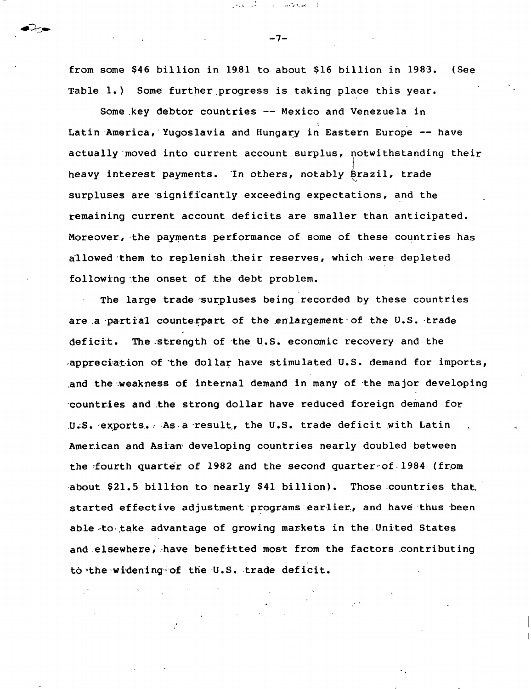**from some \$46 billion in 19.81 to about \$16 billion in 1983. (See Table 1.) Some further progress is taking place this year.**

**Some key debtor countries — Mexico and Venezuela in Latin America, 'Yugoslavia and Hungary in Eastern Europe — have actually moved into current account surplus, notwithstanding their heavy interest payments. In others, notably Brazil, trade surpluses are significantly exceeding expectations, and the remaining current account deficits are smaller than anticipated. Moreover, the payments performance of some of these countries has allowed them to replenish their reserves, which were depleted following the onset of the debt problem.**

**The large trade surpluses being recorded by these countries are a partial counterpart of the enlargement of the U.S. trade deficit. The strength of the U.S. economic recovery and the ^appreciation of the dollar have stimulated U.S. demand for imports, and the weakness of internal demand in many of the major developing countries and the strong dollar have reduced foreign demand for U.S. exports. 7 As a result., the U.S. trade deficit .with Latin American and Asian<sup>1</sup> developing countries nearly doubled between the fourth quarter of 1982 and the second quarter of 1984 (from about \$21.5 billion to nearly \$41 billion). Those countries that., started effective adjustment programs earlier, and have thus been able to-.take advantage of growing markets in the United States and elsewhere, have benefitted most from the factors contributing to-the widening of the U.S. trade deficit.**

**-7-**

المحارقة والمحسب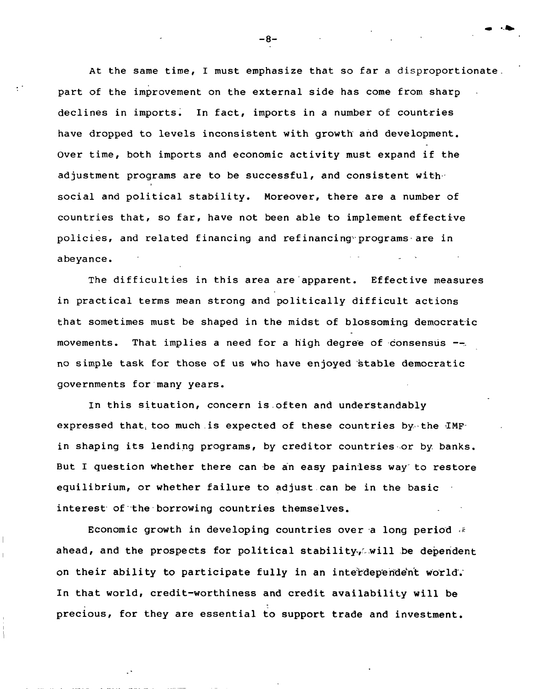**At the same time, I must emphasize that so far a disproportionate. part of the improvement on the external side has come from sharp declines in imports. In fact, imports in a number of countries have dropped to levels inconsistent with growth and development. Over time, both imports and economic activity must expand if the adjustment programs are to be successful, and consistent with social and political stability. Moreover, there are a number of countries that, so far, have not been able to implement effective policies, and related financing and refinancing programs are in abeyance. - 1**

**The difficulties in this area are apparent. Effective measures in practical terms mean strong and politically difficult actions that sometimes must be shaped in the midst of blossoming democratic movements. That implies a need for a high degree of consensus no simple task for those of us who have enjoyed stable democratic governments for many years.**

**In this situation, concern is,often and understandably expressed that^ too much.is expected of these countries by the IMF in shaping its lending programs, by creditor countries or by. banks. But I question whether there can be an easy painless way to restore equilibrium, or whether failure to adjust can be in the basic interest of the borrowing countries themselves.**

**Economic growth in developing countries over a long period <£ ahead, and the prospects for political stability.will be dependent on their ability to participate fully in an interdependent world. In that world, credit-worthiness and credit availability will be precious, for they are essential to support trade and investment.**

**— 8—**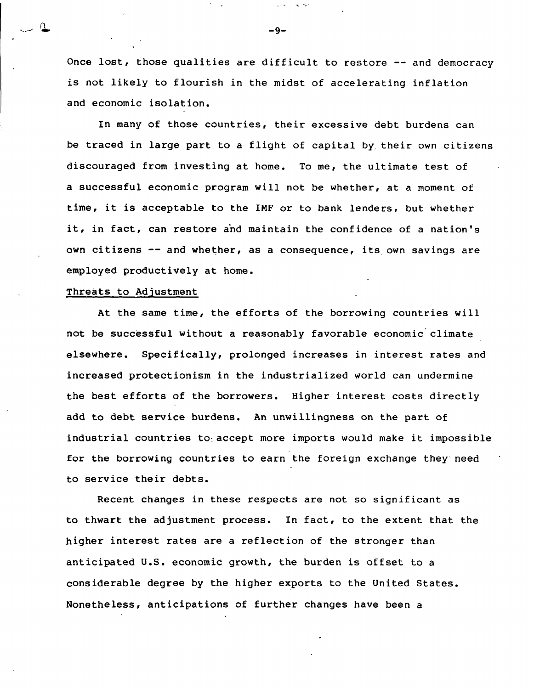**Once lost, those qualities are difficult to restore — and democracy is not likely to flourish in the midst of accelerating inflation and economic isolation.**

**In many of those countries, their excessive debt burdens can be traced in large part to a flight of capital by their own citizens discouraged from investing at home. To me, the ultimate test of a successful economic program will not be whether, at a moment of time, it is acceptable to the IMF or to bank lenders, but whether it, in fact, can restore and maintain the confidence of a nation's own citizens — and whether, as a consequence, its own savings are employed productively at home.**

#### **Threats to Adjustment**

**At the same time, the efforts of the borrowing countries will not be successful without a reasonably favorable economic climate elsewhere. Specifically, prolonged increases in interest rates and increased protectionism in the industrialized world can undermine the best efforts of the borrowers. Higher interest costs directly add to debt service burdens. An unwillingness on the part of industrial countries to-, accept more imports would make it impossible for the borrowing countries to earn the foreign exchange they need to service their debts.**

**Recent changes in these respects are not so significant as to thwart the adjustment process. In fact, to the extent that the higher interest rates are a reflection of the stronger than anticipated U.S. economic growth, the burden is offset to a considerable degree by the higher exports to the United States. Nonetheless, anticipations of further changes have been a**

**- 9 -**

 $\sim$   $\sim$   $^{\prime}$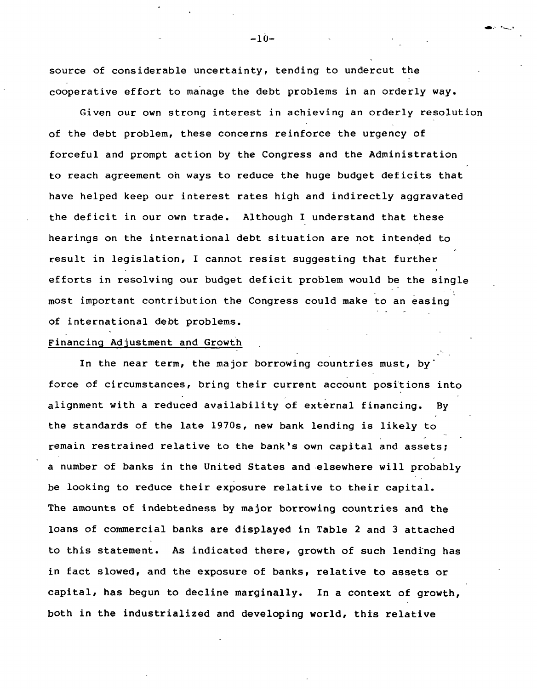**source of considerable uncertainty, tending to undercut the cooperative effort to manage the debt problems in an orderly way.**

**Given our own strong interest in achieving an orderly resolution of the debt problem, these concerns reinforce the urgency of forceful and prompt action by the Congress and the Administration to reach agreement oh ways to reduce the huge budget deficits that have helped keep our interest rates high and indirectly aggravated the deficit in our own trade. Although I understand that these hearings on the international debt situation are not intended to result in legislation, I cannot resist suggesting that further efforts in resolving our budget deficit problem would be the single most important contribution the Congress could make to an easing of international debt problems.**

## **Financing Adjustment and Growth**

**In the near term, the major borrowing countries must, by force of circumstances, bring their current account positions into alignment with a reduced availability of external financing. By the standards of the late 1970s, new bank lending is likely to remain restrained relative to the bank's own capital and assets; a number of banks in the United States and elsewhere will probably be looking to reduce their exposure relative to their capital. The amounts of indebtedness by major borrowing countries and the loans of commercial banks are displayed in Table 2 and 3 attached to this statement. As indicated there, growth of such lending has in fact slowed, and the exposure of banks, relative to assets or capital, has begun to decline marginally. In a context of growth, both in the industrialized and developing world, this relative**

**-10 -**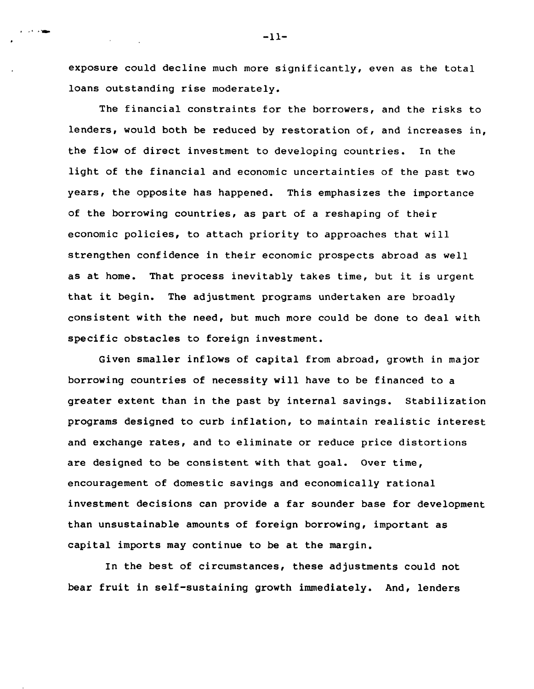**exposure could decline much more significantly, even as the total loans outstanding rise moderately.**

**The financial constraints for the borrowers, and the risks to lenders, would both be reduced by restoration of, and increases in, the flow of direct investment to developing countries. In the light of the financial and economic uncertainties of the past two years, the opposite has happened. This emphasizes the importance of the borrowing countries, as part of a reshaping of their economic policies, to attach priority to approaches that will strengthen confidence in their economic prospects abroad as well as at home. That process inevitably takes time, but it is urgent that it begin. The adjustment programs undertaken are broadly consistent with the need, but much more could be done to deal with specific obstacles to foreign investment.**

**Given smaller inflows of capital from abroad, growth in major borrowing countries of necessity will have to be financed to a greater extent than in the past by internal savings. Stabilization programs designed to curb inflation, to maintain realistic interest and exchange rates, and to eliminate or reduce price distortions are designed to be consistent with that goal. Over time, encouragement of domestic savings and economically rational investment decisions can provide a far sounder base for development than unsustainable amounts of foreign borrowing, important as capital imports may continue to be at the margin.**

**In the best of circumstances, these adjustments could not bear fruit in self-sustaining growth immediately. And, lenders**

**— 11—**

**Section**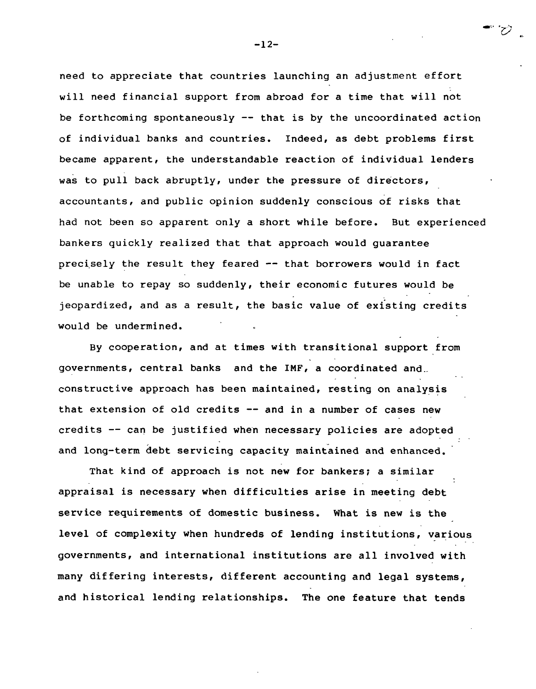**need to appreciate that countries launching an adjustment effort will need financial support from abroad for a time that will not be forthcoming spontaneously — that is by the uncoordinated action of individual banks and countries. Indeed, as debt problems first became apparent, the understandable reaction of individual lenders was to pull back abruptly, under the pressure of directors, accountants, and public opinion suddenly conscious of risks that had not been so apparent only a short while before. But experienced bankers quickly realized that that approach would guarantee precisely the result they feared — that borrowers would in fact be unable to repay so suddenly, their economic futures would be jeopardized, and as a result, the basic value of existing credits would be undermined.**

**By cooperation, and at times with transitional support from governments, central banks and the IMF, a coordinated and constructive approach has been maintained, resting on analysis that extension of old credits — and in a number of cases new credits — can be justified when necessary policies are adopted and long-term debt servicing capacity maintained and enhanced.**

**That kind of approach is not new for bankers; a similar appraisal is necessary when difficulties arise in meeting debt service requirements of domestic business. What is new is the level of complexity when hundreds of lending institutions, various governments, and international institutions are all involved with many differing interests, different accounting and legal systems, and historical lending relationships. The one feature that tends**

**-12 -**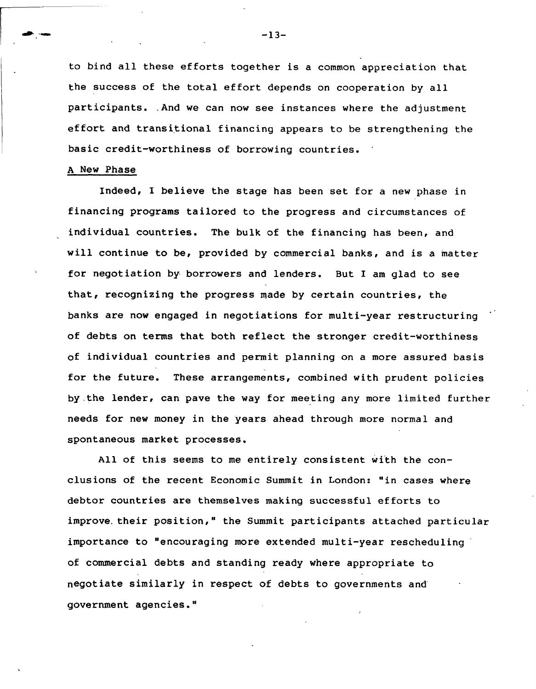**to bind all these efforts together is a common appreciation that the success of the total effort depends on cooperation by all participants. ,And we can now see instances where the adjustment effort and transitional financing appears to be strengthening the basic credit-worthiness of borrowing countries.**

### **A New Phase**

**Indeed, I believe the stage has been set for a new phase in financing programs tailored to the progress and circumstances of individual countries. The bulk of the financing has been, and will continue to be, provided by commercial banks, and is a matter for negotiation by borrowers and lenders. But I am glad to see that, recognizing the progress made by certain countries, the banks are now engaged in negotiations for multi-year restructuring of debts on terms that both reflect the stronger credit-worthiness of individual countries and permit planning on a more assured basis for the future. These arrangements, combined with prudent policies by the lender, can pave the way for meeting any more limited further needs for new money in the years ahead through more normal and spontaneous market processes.**

**All of this seems to me entirely consistent with the conclusions of the recent Economic Summit in London: "in cases where debtor countries are themselves making successful efforts to improve, their position," the Summit participants attached particular importance to "encouraging more extended multi-year rescheduling of commercial debts and standing ready where appropriate to negotiate similarly in respect of debts to governments and government agencies."**

 $-13-$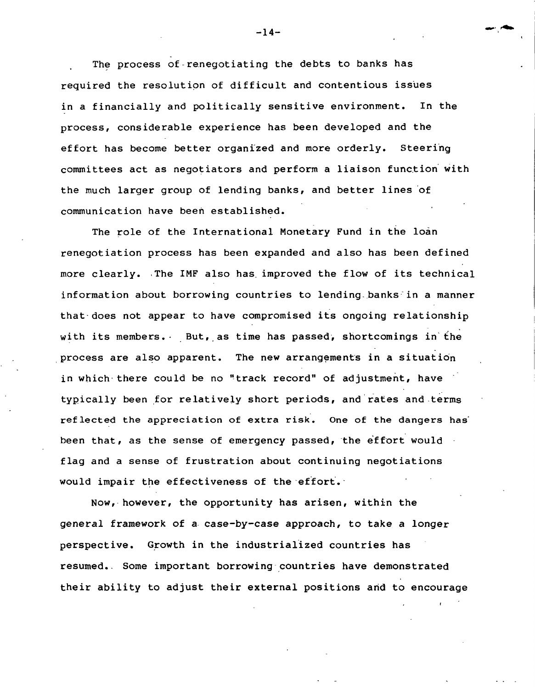**The process of renegotiating the debts to banks has required the resolution of difficult and contentious issues in a financially and politically sensitive environment. In the process, considerable experience has been developed and the effort has become better organized and more orderly. Steering committees act as negotiators and perform a liaison function with the much larger group of lending banks, and better lines of communication have been established.**

**The role of the International Monetary Fund in the loan renegotiation process has been expanded and also has been defined more clearly. The IMF also has improved the flow of its technical information about borrowing countries to lending.banks in a manner that does not appear to have compromised its ongoing relationship with its members. But, as time has passed, shortcomings in the process are also apparent. The new arrangements in a situation in which there could be no "track record" of adjustment, have typically been for relatively short periods, and rates and terms reflected the appreciation of extra risk. One of the dangers has" been that, as the sense of emergency passed, the effort would flag and a sense of frustration about continuing negotiations would impair the effectiveness of the effort.-**

**Now, however, the opportunity has arisen, within the general framework of a case-by-case approach, to take a longer perspective. Growth in the industrialized countries has resumed.. Some important borrowing countries have demonstrated their ability to adjust their external positions arid to encourage**

**— 14—**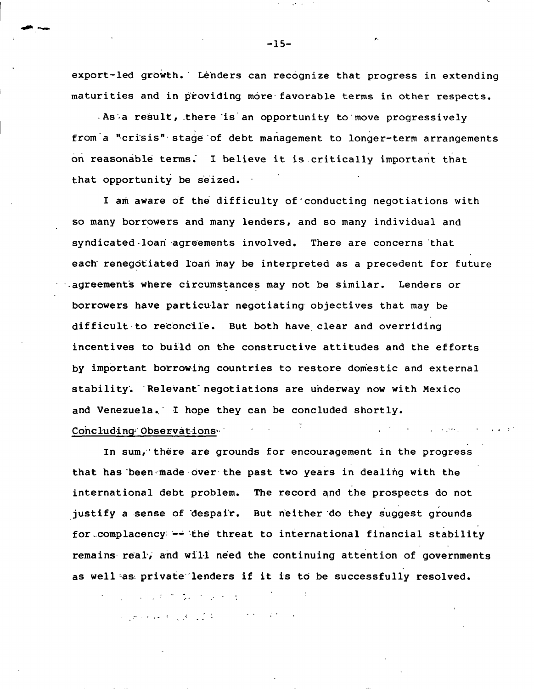**export-led growth. Lenders can recognize that progress in extending maturities and in providing more favorable terms in other respects.**

**As a result, there is an opportunity to move progressively from a "crisis" stage of debt management to longer-term arrangements on reasonable terms. I believe it is critically important that that opportunity be seized.**

**I am aware of the difficulty of conducting negotiations with so many borrowers and many lenders, and so many individual and syndicated-loan agreements involved. There are concerns that each renegotiated loan may be interpreted as a precedent for future agreements where circumstances may not be similar. Lenders or borrowers have particular negotiating objectives that may be difficult to reconcile. But both have clear and overriding incentives to bui-ld on the constructive attitudes and the efforts by important borrowing countries to restore domestic and external stability; Relevant negotiations are underway now with Mexico and Venezuela. I hope they can be concluded shortly. Concluding Observations^**

**In sum, there are grounds for encouragement in the progress that has been made over the past two years in dealing with the international debt problem. The record and the prospects do not justify a sense of despair. But neither do they suggest grounds for.complacency —- the threat to international financial stability remains real, and will need the continuing attention of governments as well 38^ private lenders if it is to be successfully resolved.**

オーリール うわさ ないりょう キーバ 医马蹄子囊 机油油 医腹膜炎 医阿尔伯氏综合征 医前列腺

**-15-**

*f '*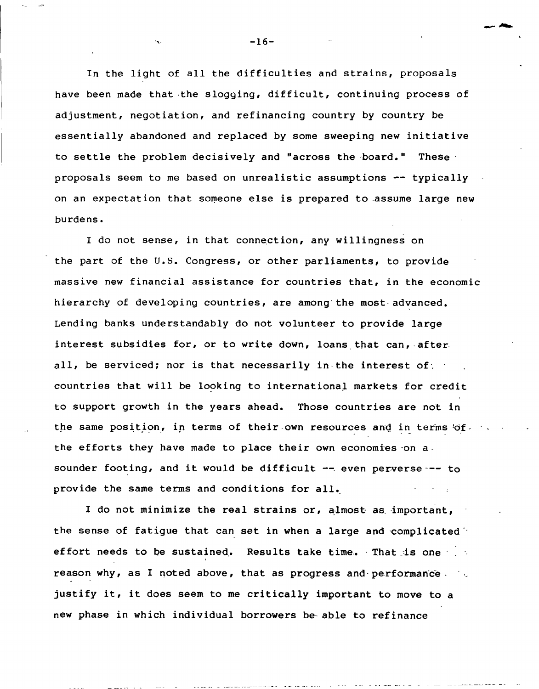**In the light of all the difficulties and strains, proposals have been made that the slogging, difficult, continuing process of adjustment, negotiation, and refinancing country by country be essentially abandoned and replaced by some sweeping new initiative to settle the problem decisively and "across the board." These proposals seem to me based on unrealistic assumptions — typically on an expectation that someone else is prepared to assume large new burdens.**

**I do not sense, in that connection, any willingness on the part of the U.S. Congress, or other parliaments, to provide massive new financial assistance for countries that, in the economic hierarchy of developing countries, are among the most advanced. Lending banks understandably do not volunteer to provide large interest subsidies for, or to write down, loans that can, after all, be serviced; nor is that necessarily in the interest of, countries that will be looking to international markets for credit to support growth in the years ahead. Those countries are not in the same position, in terms of their own resources and in terms of the efforts they have made to place their own economies-on a sounder footing, and it would be difficult — . even perverse to provide the same terms and conditions for all.**

**I do not minimize the real strains or, almost as important, the sense of fatigue that can set in when a large and complicated effort needs to be sustained. Results take time. That is one reason why, as I noted above, that as progress and performance . justify it, it does seem to me critically important to move to a new phase in which individual borrowers be able to refinance**

 $-16-$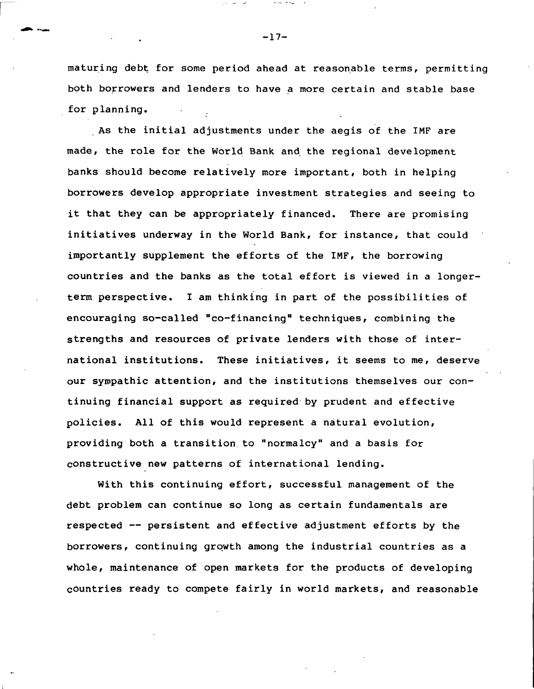**maturing debt for some period ahead at reasonable terms, permitting both borrowers and lenders to have a more certain and stable base for planning.**

**As the initial adjustments under the aegis of the IMF are made, the role for the World Bank and the regional development banks should become relatively more important, both in helping borrowers develop appropriate investment strategies and seeing to it that they can be appropriately financed. There are promising initiatives underway in the World Bank, for instance, that could importantly supplement the efforts of the IMF, the borrowing countries and the banks as the total effort is viewed in a longerterm perspective. I am thinking in part of the possibilities of encouraging so-called "co-financing" techniques, combining the strengths and resources of private lenders with those of international institutions. These initiatives, it seems to me, deserve our sympathic attention, and the institutions themselves our continuing financial support as required by prudent and effective policies. All of this would represent a natural evolution, providing both a transition to "normalcy" and a basis for constructive new patterns of international lending.**

**With this continuing effort, successful management of the debt problem can continue so long as certain fundamentals are respected — persistent and effective adjustment efforts by the borrowers, continuing growth among the industrial countries as a whole, maintenance of open markets for the products of developing countries ready to compete fairly in world markets, and reasonable**

**-17-**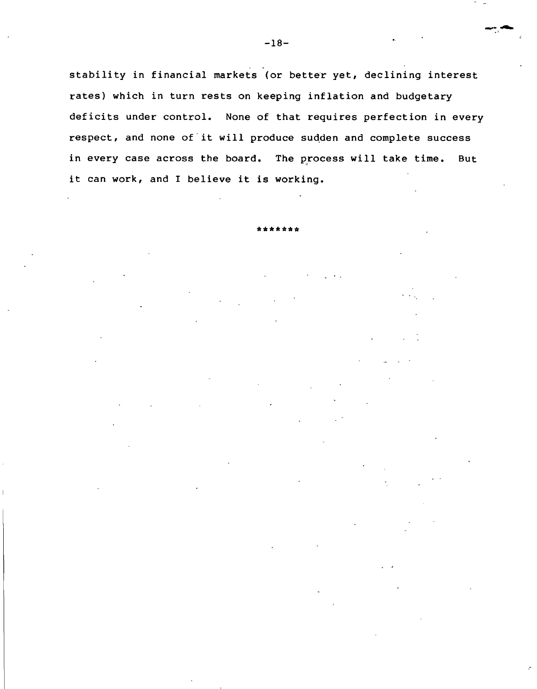**stability in financial markets (or better yet, declining interest rates) which in turn rests on keeping inflation and budgetary deficits under control. None of that requires perfection in every respect, and none of it will produce sudden and complete success in every case across the board. The process will take time. But it can work, and I believe it is working.**

**\*\*\*\*\*\* \***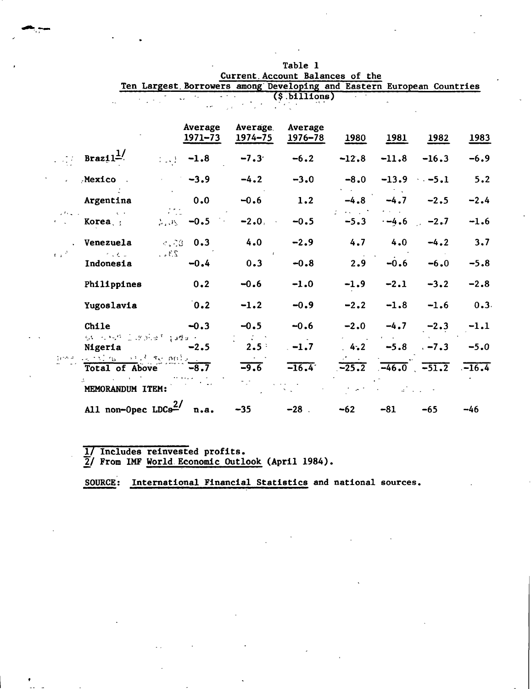|                                 |                                                         |                        |                        |                     | Ten Largest Borrowers among Developing and Eastern European Countries |         |         |                          |        |
|---------------------------------|---------------------------------------------------------|------------------------|------------------------|---------------------|-----------------------------------------------------------------------|---------|---------|--------------------------|--------|
|                                 |                                                         |                        |                        |                     | $(s.$ billions $)$                                                    |         |         |                          |        |
|                                 |                                                         |                        | Average<br>$1971 - 73$ | Average.<br>1974–75 | Average<br>$1976 - 78$                                                | 1980    | 1981    | 1982                     | 1983   |
|                                 | Braz11 <sup>1/</sup>                                    | $\{1, 2, 3, \ldots \}$ | $-1.8$                 | $-7.3$              | $-6.2$                                                                | $-12.8$ | $-11.8$ | $-16.3$                  | $-6.9$ |
|                                 | Mexico                                                  |                        | $-3.9$                 | $-4.2$              | $-3.0$                                                                | $-8.0$  | $-13.9$ | $-5.1$                   | 5.2    |
|                                 | Argentina                                               |                        | 0.0                    | $-0.6$              | 1.2                                                                   | $-4.8$  | $-4.7$  | $-2.5$                   | $-2.4$ |
|                                 | $\mathcal{A} \subset \mathcal{A}$<br>Korea <sub>s</sub> |                        | $2.05 - 0.5$           | $-2.0$              | $-0.5$                                                                | $-5.3$  | $-4.6$  | $-2.7$<br>$\mathbb{R}^2$ | $-1.6$ |
|                                 | Venezuela                                               |                        | $c_{1}$ $c_{3}$ 0.3    | 4.0                 | $-2.9$                                                                | 4.7     | 4.0     | $-4.2$                   | 3.7    |
| $\mathbf{f} \in \mathbb{R}^{N}$ | <b>Contractor</b><br>Indonesia                          | 234.7                  | $-0.4$                 | 0.3                 | $-0.8$                                                                | 2.9     | $-0.6$  | $-6.0$                   | $-5.8$ |
|                                 | Philippines                                             |                        | 0.2                    | $-0.6$              | $-1.0$                                                                | $-1.9$  | $-2.1$  | $-3.2$                   | $-2.8$ |
|                                 | Yugoslavia                                              |                        | 0.2                    | $-1.2$              | $-0.9$                                                                | $-2.2$  | $-1.8$  | $-1.6$                   | 0.3.   |
|                                 | Chile                                                   |                        | $-0.3$                 | $-0.5$              | $-0.6$                                                                | $-2.0$  | $-4.7$  | $-2.3$                   | $-1.1$ |
|                                 | 44 元格获益设施单则的模式。<br>Nigeria                              |                        | $-2.5$                 | $2.5$ <sup>:</sup>  | $-1.7$                                                                | 4.2     | $-5.8$  | $-7.3$                   | $-5.0$ |
|                                 | ament is the first the police of<br>Total of Above      |                        | $-8.7$                 | $-9.6$              | $-16.4$                                                               | $-25.2$ |         | $-46.0$ $-51.2$ $-16.4$  |        |
|                                 | MEMORANDUM ITEM:                                        |                        |                        |                     |                                                                       |         |         |                          |        |
|                                 | All non-Opec $LDC92$                                    |                        | n.a.                   | $-35$               | $-28$                                                                 | $-62$   | $-81$   | $-65$                    | $-46$  |

**Table 1 Current. Account Balances of the**

**1/ Includes reinvested profits.**

**2j From IMF World Economic Outlook (April 1984).**

**SOURCE: International Financial Statistics and national sources.**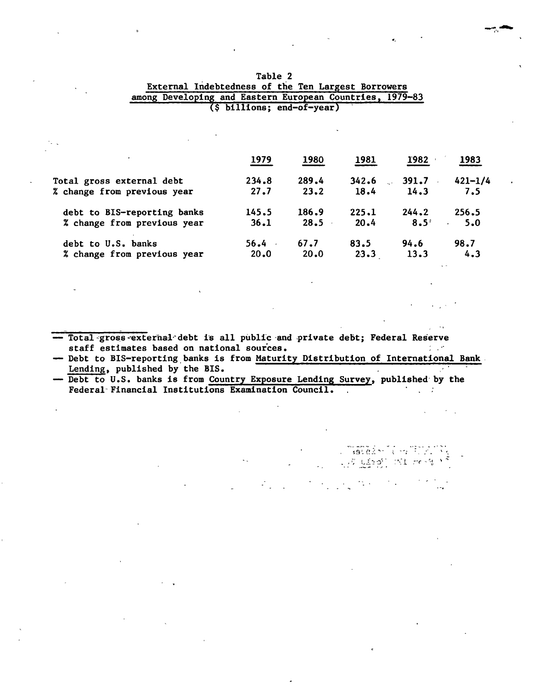|                             | 1979  | 1980  | 1981  | 1982             | 1983        |
|-----------------------------|-------|-------|-------|------------------|-------------|
| Total gross external debt   | 234.8 | 289.4 | 342.6 | 391.7            | $421 - 1/4$ |
| % change from previous year | 27.7  | 23.2  | 18.4  | 14.3             | 7.5         |
| debt to BIS-reporting banks | 145.5 | 186.9 | 225.1 | 244.2            | 256.5       |
| % change from previous year | 36.1  | 28.5  | 20.4  | 8.5 <sup>°</sup> | 5.0         |
| debt to U.S. banks          | 56.4  | 67.7  | 83.5  | 94.6             | 98.7        |
| % change from previous year | 20.0  | 20.0  | 23.3  | 13.3             | 4.3         |
|                             |       |       |       |                  |             |

| Table 2                                                  |  |
|----------------------------------------------------------|--|
| External Indebtedness of the Ten Largest Borrowers       |  |
| among Developing and Eastern European Countries, 1979-83 |  |
| $(§$ billions; end-of-year)                              |  |

**— Total gross^external debt is all public and private debt; Federal Reserve staff estimates based on national sources.**  $\mathcal{L}^{\text{max}}$ 

**— Debt to BIS-reporting banks is from Maturity Distribution of International Bank Lending, published by the BIS.**

i.

 $\sim 100$ 

 $\mathcal{M}(\mathcal{A})$ 

Listakní Lyfitziík<br>Lý Lizj Historik

 $\sim 10^{11}$  km

**— Debt to U.S. banks is from Country Exposure Lending Survey, published by the Federal Financial Institutions Examination Council.** $\mathcal{O}(\mathcal{O}_\mathcal{A})$  ,  $\mathcal{O}(\mathcal{O}_\mathcal{A})$